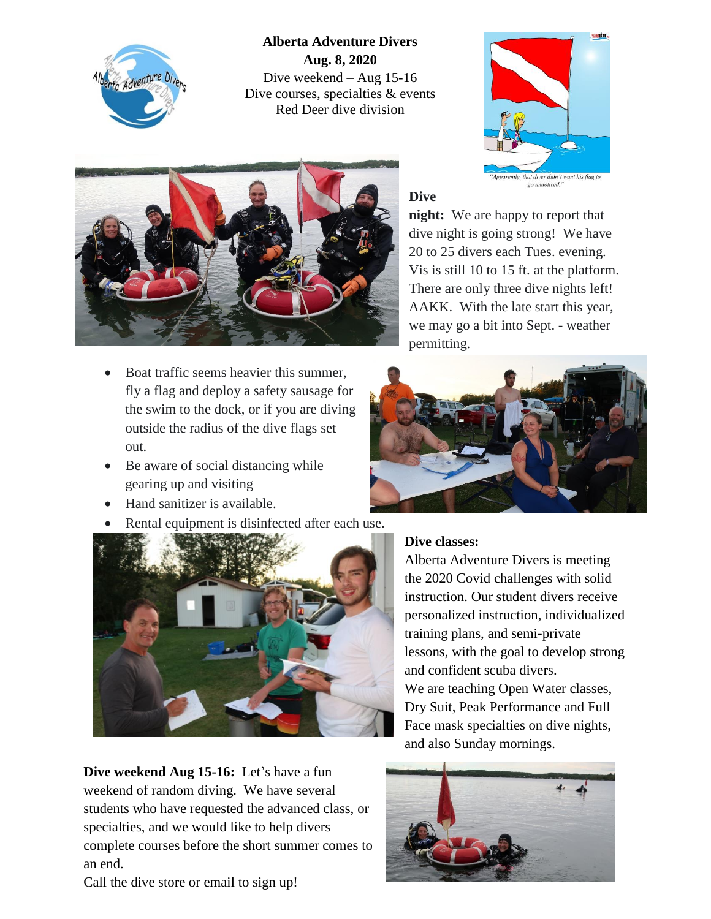

## **Alberta Adventure Divers Aug. 8, 2020** Dive weekend – Aug 15-16 Dive courses, specialties & events Red Deer dive division





- Boat traffic seems heavier this summer, fly a flag and deploy a safety sausage for the swim to the dock, or if you are diving outside the radius of the dive flags set out.
- Be aware of social distancing while gearing up and visiting
- Hand sanitizer is available.
- Rental equipment is disinfected after each use.



**Dive weekend Aug 15-16:** Let's have a fun weekend of random diving. We have several students who have requested the advanced class, or specialties, and we would like to help divers complete courses before the short summer comes to an end.

Call the dive store or email to sign up!

## **Dive**

**night:** We are happy to report that dive night is going strong! We have 20 to 25 divers each Tues. evening. Vis is still 10 to 15 ft. at the platform. There are only three dive nights left! AAKK. With the late start this year, we may go a bit into Sept. - weather permitting.



## **Dive classes:**

Alberta Adventure Divers is meeting the 2020 Covid challenges with solid instruction. Our student divers receive personalized instruction, individualized training plans, and semi-private lessons, with the goal to develop strong and confident scuba divers. We are teaching Open Water classes, Dry Suit, Peak Performance and Full Face mask specialties on dive nights,



and also Sunday mornings.